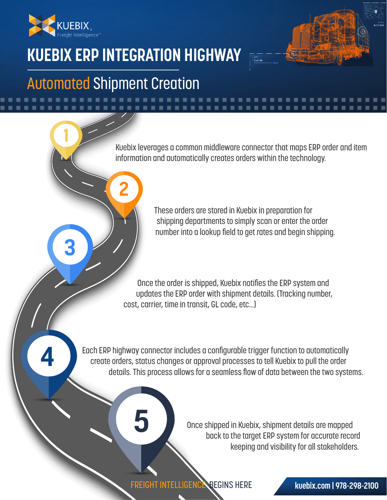

**1**

**3**

**4**

# **KUEBIX ERP INTEGRATION HIGHWAY**

## Automated Shipment Creation

**2**

Kuebix leverages a common middleware connector that maps ERP order and item information and automatically creates orders within the technology.

> These orders are stored in Kuebix in preparation for shipping departments to simply scan or enter the order number into a lookup field to get rates and begin shipping.

Once the order is shipped, Kuebix notifies the ERP system and updates the ERP order with shipment details. (Tracking number, cost, carrier, time in transit, GL code, etc…)

Each ERP highway connector includes a configurable trigger function to automatically create orders, status changes or approval processes to tell Kuebix to pull the order details. This process allows for a seamless flow of data between the two systems.

> Once shipped in Kuebix, shipment details are mapped back to the target ERP system for accurate record keeping and visibility for all stakeholders.

FREIGHT INTELLIGENCE BEGINS HERE

**5**

### **kuebix.com | 978-298-2100**